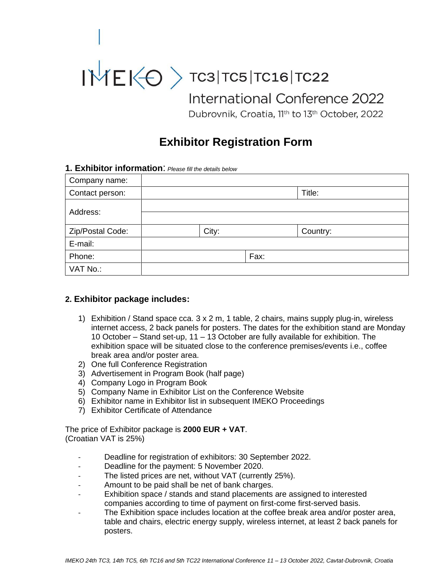# $NTE < 0$  TC3|TC5|TC16|TC22 International Conference 2022 Dubrovnik, Croatia, 11th to 13th October, 2022

## **Exhibitor Registration Form**

#### **1. Exhibitor information**: *Please fill the details below*

| Company name:    |       |      |          |
|------------------|-------|------|----------|
| Contact person:  |       |      | Title:   |
| Address:         |       |      |          |
| Zip/Postal Code: | City: |      | Country: |
| E-mail:          |       |      |          |
| Phone:           |       | Fax: |          |
| VAT No.:         |       |      |          |

#### **2. Exhibitor package includes:**

- 1) Exhibition / Stand space cca. 3 x 2 m, 1 table, 2 chairs, mains supply plug-in, wireless internet access, 2 back panels for posters. The dates for the exhibition stand are Monday 10 October – Stand set-up, 11 – 13 October are fully available for exhibition. The exhibition space will be situated close to the conference premises/events i.e., coffee break area and/or poster area.
- 2) One full Conference Registration
- 3) Advertisement in Program Book (half page)
- 4) Company Logo in Program Book
- 5) Company Name in Exhibitor List on the Conference Website
- 6) Exhibitor name in Exhibitor list in subsequent IMEKO Proceedings
- 7) Exhibitor Certificate of Attendance

The price of Exhibitor package is **2000 EUR + VAT**. (Croatian VAT is 25%)

- Deadline for registration of exhibitors: 30 September 2022.
- Deadline for the payment: 5 November 2020.
- The listed prices are net, without VAT (currently 25%).
- Amount to be paid shall be net of bank charges.
- Exhibition space / stands and stand placements are assigned to interested companies according to time of payment on first-come first-served basis.
- The Exhibition space includes location at the coffee break area and/or poster area, table and chairs, electric energy supply, wireless internet, at least 2 back panels for posters.